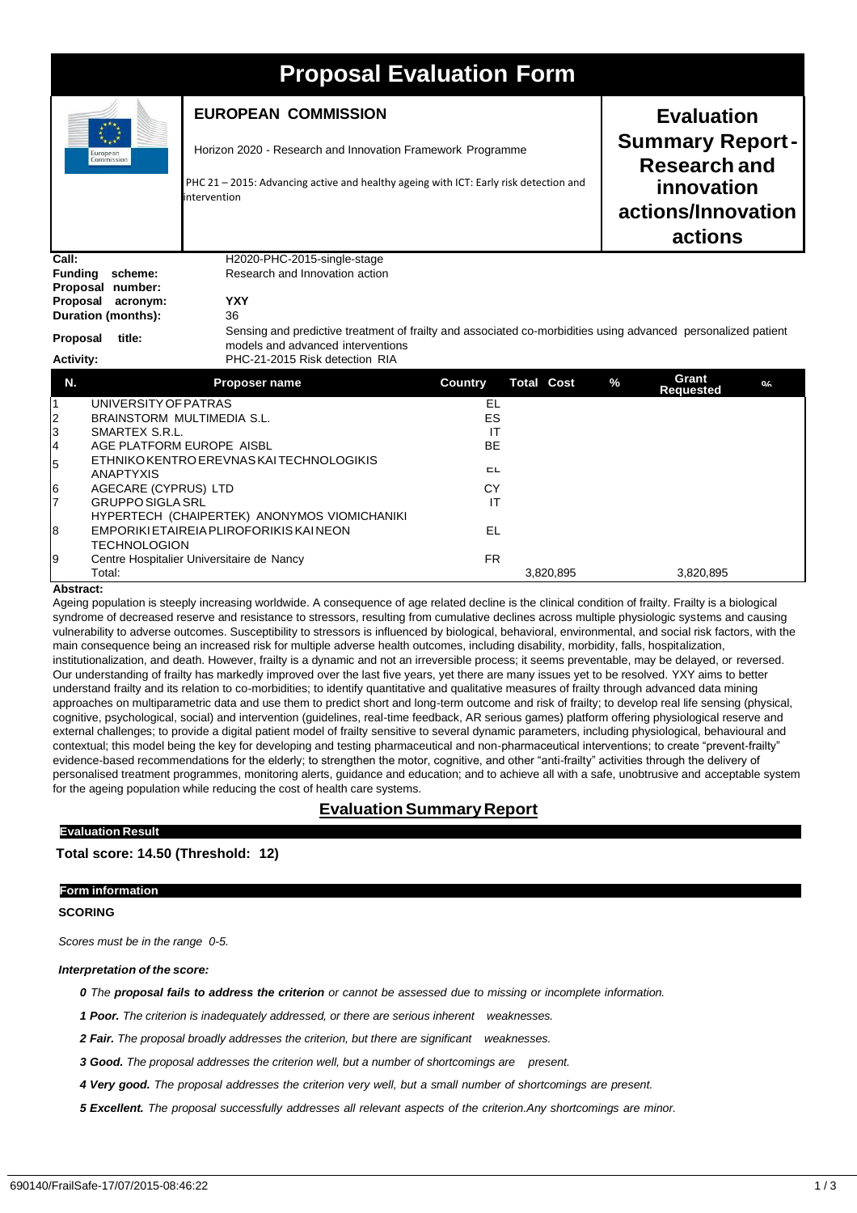# **Proposal Evaluation Form**

| $\blacksquare$                                                                                                                                                                                   |                                                      |  |                                                                                                                                                                          |                                            |                                                                                                                                                                                                          |
|--------------------------------------------------------------------------------------------------------------------------------------------------------------------------------------------------|------------------------------------------------------|--|--------------------------------------------------------------------------------------------------------------------------------------------------------------------------|--------------------------------------------|----------------------------------------------------------------------------------------------------------------------------------------------------------------------------------------------------------|
| <b>EUROPEAN COMMISSION</b><br>intervention                                                                                                                                                       |                                                      |  |                                                                                                                                                                          | <b>Evaluation</b><br>innovation<br>actions |                                                                                                                                                                                                          |
| H2020-PHC-2015-single-stage<br>Research and Innovation action<br><b>YXY</b><br>36<br>models and advanced interventions<br>PHC-21-2015 Risk detection RIA                                         |                                                      |  |                                                                                                                                                                          |                                            |                                                                                                                                                                                                          |
| Proposer name                                                                                                                                                                                    | <b>Country</b>                                       |  | $\%$                                                                                                                                                                     | Grant                                      | 0/                                                                                                                                                                                                       |
| UNIVERSITY OF PATRAS<br>BRAINSTORM MULTIMEDIA S.L.<br>SMARTEX S.R.L.<br>AGE PLATFORM EUROPE AISBL<br>ETHNIKO KENTRO EREVNAS KAI TECHNOLOGIKIS<br>AGECARE (CYPRUS) LTD<br><b>GRUPPO SIGLA SRL</b> | <b>EL</b><br>ES<br>IT<br><b>BE</b><br>ᄃᄂ<br>CY<br>IT |  |                                                                                                                                                                          |                                            |                                                                                                                                                                                                          |
|                                                                                                                                                                                                  |                                                      |  | Horizon 2020 - Research and Innovation Framework Programme<br>PHC 21 - 2015: Advancing active and healthy ageing with ICT: Early risk detection and<br><b>Total Cost</b> |                                            | <b>Summary Report-</b><br><b>Research and</b><br>actions/Innovation<br>Sensing and predictive treatment of frailty and associated co-morbidities using advanced personalized patient<br><b>Requested</b> |

#### **Abstract:**

TECHNOLOGION

Ageing population is steeply increasing worldwide. A consequence of age related decline is the clinical condition of frailty. Frailty is a biological syndrome of decreased reserve and resistance to stressors, resulting from cumulative declines across multiple physiologic systems and causing vulnerability to adverse outcomes. Susceptibility to stressors is influenced by biological, behavioral, environmental, and social risk factors, with the main consequence being an increased risk for multiple adverse health outcomes, including disability, morbidity, falls, hospitalization, institutionalization, and death. However, frailty is a dynamic and not an irreversible process; it seems preventable, may be delayed, or reversed. Our understanding of frailty has markedly improved over the last five years, yet there are many issues yet to be resolved. YXY aims to better understand frailty and its relation to co-morbidities; to identify quantitative and qualitative measures of frailty through advanced data mining approaches on multiparametric data and use them to predict short and long-term outcome and risk of frailty; to develop real life sensing (physical, cognitive, psychological, social) and intervention (guidelines, real-time feedback, AR serious games) platform offering physiological reserve and external challenges; to provide a digital patient model of frailty sensitive to several dynamic parameters, including physiological, behavioural and contextual; this model being the key for developing and testing pharmaceutical and non-pharmaceutical interventions; to create "prevent-frailty" evidence-based recommendations for the elderly; to strengthen the motor, cognitive, and other "anti-frailty" activities through the delivery of personalised treatment programmes, monitoring alerts, guidance and education; and to achieve all with a safe, unobtrusive and acceptable system for the ageing population while reducing the cost of health care systems.

Total: 3,820,895 3,820,895

# **Evaluation Summary Report**

# **Total score: 14.50 (Threshold: 12)**

#### **Form information**

**Evaluation Result**

### **SCORING**

*Scores must be in the range 0-5.*

#### *Interpretation of the score:*

0 The proposal fails to address the criterion or cannot be assessed due to missing or incomplete information.

*1 Poor. The criterion is inadequately addressed, or there are serious inherent weaknesses.*

8 EMPORIKIETAIREIAPLIROFORIKISKAINEON EL

9 Centre Hospitalier Universitaire de Nancy<br>Total: FR

*2 Fair. The proposal broadly addresses the criterion, but there are significant weaknesses.*

*3 Good. The proposal addresses the criterion well, but a number of shortcomings are present.*

4 Very good. The proposal addresses the criterion very well, but a small number of shortcomings are present.

*5 Excellent. The proposal successfully addresses all relevant aspects of the criterion.Any shortcomings are minor.*